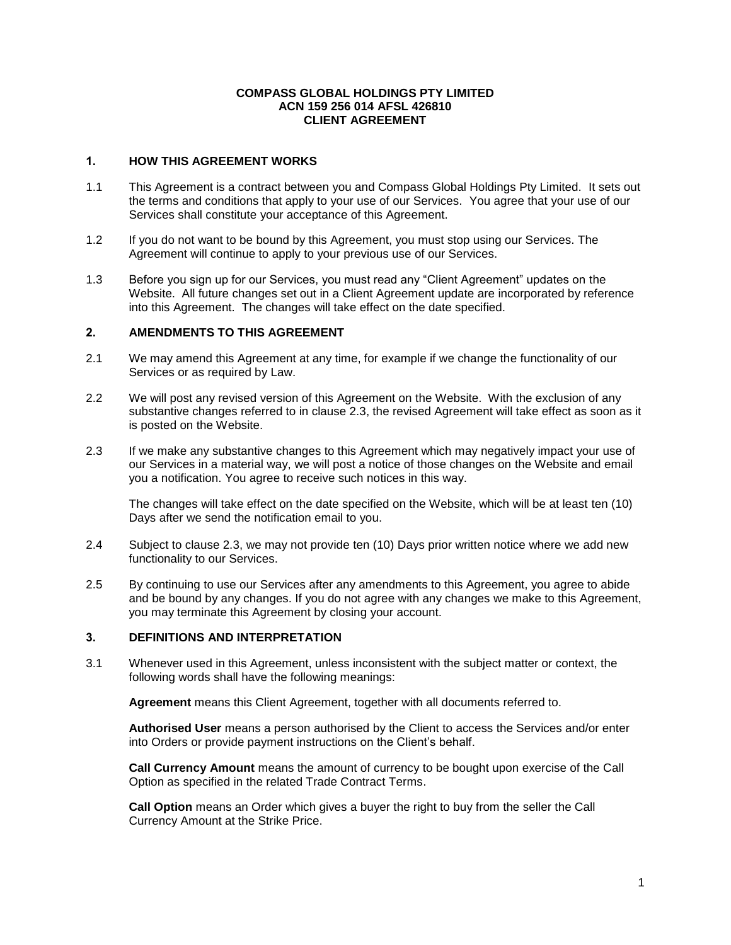#### **COMPASS GLOBAL HOLDINGS PTY LIMITED ACN 159 256 014 AFSL 426810 CLIENT AGREEMENT**

### **1. HOW THIS AGREEMENT WORKS**

- 1.1 This Agreement is a contract between you and Compass Global Holdings Pty Limited. It sets out the terms and conditions that apply to your use of our Services. You agree that your use of our Services shall constitute your acceptance of this Agreement.
- 1.2 If you do not want to be bound by this Agreement, you must stop using our Services. The Agreement will continue to apply to your previous use of our Services.
- 1.3 Before you sign up for our Services, you must read any "Client Agreement" updates on the Website. All future changes set out in a Client Agreement update are incorporated by reference into this Agreement. The changes will take effect on the date specified.

### **2. AMENDMENTS TO THIS AGREEMENT**

- 2.1 We may amend this Agreement at any time, for example if we change the functionality of our Services or as required by Law.
- 2.2 We will post any revised version of this Agreement on the Website. With the exclusion of any substantive changes referred to in clause 2.3, the revised Agreement will take effect as soon as it is posted on the Website.
- 2.3 If we make any substantive changes to this Agreement which may negatively impact your use of our Services in a material way, we will post a notice of those changes on the Website and email you a notification. You agree to receive such notices in this way.

The changes will take effect on the date specified on the Website, which will be at least ten (10) Days after we send the notification email to you.

- 2.4 Subject to clause 2.3, we may not provide ten (10) Days prior written notice where we add new functionality to our Services.
- 2.5 By continuing to use our Services after any amendments to this Agreement, you agree to abide and be bound by any changes. If you do not agree with any changes we make to this Agreement, you may terminate this Agreement by closing your account.

### **3. DEFINITIONS AND INTERPRETATION**

3.1 Whenever used in this Agreement, unless inconsistent with the subject matter or context, the following words shall have the following meanings:

**Agreement** means this Client Agreement, together with all documents referred to.

**Authorised User** means a person authorised by the Client to access the Services and/or enter into Orders or provide payment instructions on the Client's behalf.

**Call Currency Amount** means the amount of currency to be bought upon exercise of the Call Option as specified in the related Trade Contract Terms.

**Call Option** means an Order which gives a buyer the right to buy from the seller the Call Currency Amount at the Strike Price.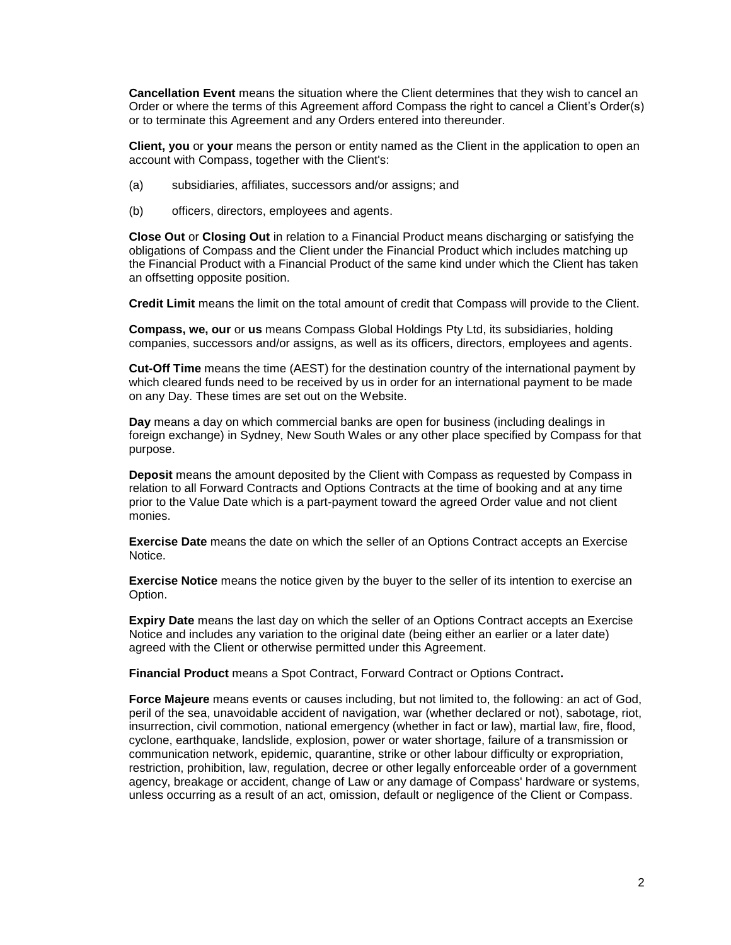**Cancellation Event** means the situation where the Client determines that they wish to cancel an Order or where the terms of this Agreement afford Compass the right to cancel a Client's Order(s) or to terminate this Agreement and any Orders entered into thereunder.

**Client, you** or **your** means the person or entity named as the Client in the application to open an account with Compass, together with the Client's:

- (a) subsidiaries, affiliates, successors and/or assigns; and
- (b) officers, directors, employees and agents.

**Close Out** or **Closing Out** in relation to a Financial Product means discharging or satisfying the obligations of Compass and the Client under the Financial Product which includes matching up the Financial Product with a Financial Product of the same kind under which the Client has taken an offsetting opposite position.

**Credit Limit** means the limit on the total amount of credit that Compass will provide to the Client.

**Compass, we, our** or **us** means Compass Global Holdings Pty Ltd, its subsidiaries, holding companies, successors and/or assigns, as well as its officers, directors, employees and agents.

**Cut-Off Time** means the time (AEST) for the destination country of the international payment by which cleared funds need to be received by us in order for an international payment to be made on any Day. These times are set out on the Website.

**Day** means a day on which commercial banks are open for business (including dealings in foreign exchange) in Sydney, New South Wales or any other place specified by Compass for that purpose.

**Deposit** means the amount deposited by the Client with Compass as requested by Compass in relation to all Forward Contracts and Options Contracts at the time of booking and at any time prior to the Value Date which is a part-payment toward the agreed Order value and not client monies.

**Exercise Date** means the date on which the seller of an Options Contract accepts an Exercise Notice.

**Exercise Notice** means the notice given by the buyer to the seller of its intention to exercise an Option.

**Expiry Date** means the last day on which the seller of an Options Contract accepts an Exercise Notice and includes any variation to the original date (being either an earlier or a later date) agreed with the Client or otherwise permitted under this Agreement.

**Financial Product** means a Spot Contract, Forward Contract or Options Contract**.**

**Force Majeure** means events or causes including, but not limited to, the following: an act of God, peril of the sea, unavoidable accident of navigation, war (whether declared or not), sabotage, riot, insurrection, civil commotion, national emergency (whether in fact or law), martial law, fire, flood, cyclone, earthquake, landslide, explosion, power or water shortage, failure of a transmission or communication network, epidemic, quarantine, strike or other labour difficulty or expropriation, restriction, prohibition, law, regulation, decree or other legally enforceable order of a government agency, breakage or accident, change of Law or any damage of Compass' hardware or systems, unless occurring as a result of an act, omission, default or negligence of the Client or Compass.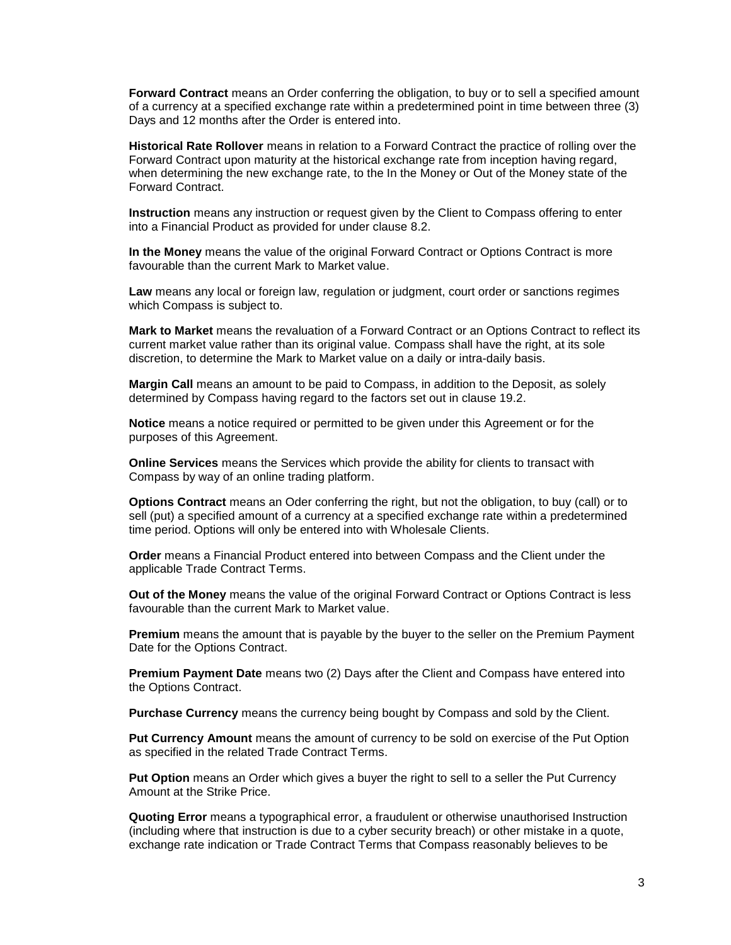**Forward Contract** means an Order conferring the obligation, to buy or to sell a specified amount of a currency at a specified exchange rate within a predetermined point in time between three (3) Days and 12 months after the Order is entered into.

**Historical Rate Rollover** means in relation to a Forward Contract the practice of rolling over the Forward Contract upon maturity at the historical exchange rate from inception having regard, when determining the new exchange rate, to the In the Money or Out of the Money state of the Forward Contract.

**Instruction** means any instruction or request given by the Client to Compass offering to enter into a Financial Product as provided for under clause 8.2.

**In the Money** means the value of the original Forward Contract or Options Contract is more favourable than the current Mark to Market value.

**Law** means any local or foreign law, regulation or judgment, court order or sanctions regimes which Compass is subject to.

**Mark to Market** means the revaluation of a Forward Contract or an Options Contract to reflect its current market value rather than its original value. Compass shall have the right, at its sole discretion, to determine the Mark to Market value on a daily or intra-daily basis.

**Margin Call** means an amount to be paid to Compass, in addition to the Deposit, as solely determined by Compass having regard to the factors set out in clause 19.2.

**Notice** means a notice required or permitted to be given under this Agreement or for the purposes of this Agreement.

**Online Services** means the Services which provide the ability for clients to transact with Compass by way of an online trading platform.

**Options Contract** means an Oder conferring the right, but not the obligation, to buy (call) or to sell (put) a specified amount of a currency at a specified exchange rate within a predetermined time period. Options will only be entered into with Wholesale Clients.

**Order** means a Financial Product entered into between Compass and the Client under the applicable Trade Contract Terms.

**Out of the Money** means the value of the original Forward Contract or Options Contract is less favourable than the current Mark to Market value.

**Premium** means the amount that is payable by the buyer to the seller on the Premium Payment Date for the Options Contract.

**Premium Payment Date** means two (2) Days after the Client and Compass have entered into the Options Contract.

**Purchase Currency** means the currency being bought by Compass and sold by the Client.

**Put Currency Amount** means the amount of currency to be sold on exercise of the Put Option as specified in the related Trade Contract Terms.

**Put Option** means an Order which gives a buyer the right to sell to a seller the Put Currency Amount at the Strike Price.

**Quoting Error** means a typographical error, a fraudulent or otherwise unauthorised Instruction (including where that instruction is due to a cyber security breach) or other mistake in a quote, exchange rate indication or Trade Contract Terms that Compass reasonably believes to be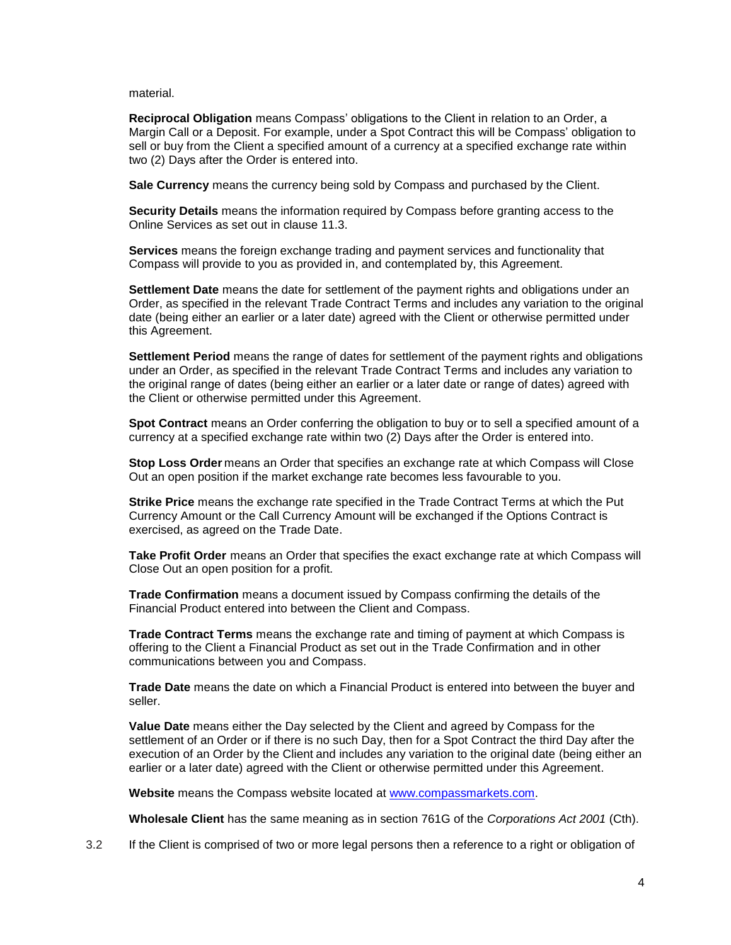material.

**Reciprocal Obligation** means Compass' obligations to the Client in relation to an Order, a Margin Call or a Deposit. For example, under a Spot Contract this will be Compass' obligation to sell or buy from the Client a specified amount of a currency at a specified exchange rate within two (2) Days after the Order is entered into.

**Sale Currency** means the currency being sold by Compass and purchased by the Client.

**Security Details** means the information required by Compass before granting access to the Online Services as set out in clause 11.3.

**Services** means the foreign exchange trading and payment services and functionality that Compass will provide to you as provided in, and contemplated by, this Agreement.

**Settlement Date** means the date for settlement of the payment rights and obligations under an Order, as specified in the relevant Trade Contract Terms and includes any variation to the original date (being either an earlier or a later date) agreed with the Client or otherwise permitted under this Agreement.

**Settlement Period** means the range of dates for settlement of the payment rights and obligations under an Order, as specified in the relevant Trade Contract Terms and includes any variation to the original range of dates (being either an earlier or a later date or range of dates) agreed with the Client or otherwise permitted under this Agreement.

**Spot Contract** means an Order conferring the obligation to buy or to sell a specified amount of a currency at a specified exchange rate within two (2) Days after the Order is entered into.

**Stop Loss Order** means an Order that specifies an exchange rate at which Compass will Close Out an open position if the market exchange rate becomes less favourable to you.

**Strike Price** means the exchange rate specified in the Trade Contract Terms at which the Put Currency Amount or the Call Currency Amount will be exchanged if the Options Contract is exercised, as agreed on the Trade Date.

**Take Profit Order** means an Order that specifies the exact exchange rate at which Compass will Close Out an open position for a profit.

**Trade Confirmation** means a document issued by Compass confirming the details of the Financial Product entered into between the Client and Compass.

**Trade Contract Terms** means the exchange rate and timing of payment at which Compass is offering to the Client a Financial Product as set out in the Trade Confirmation and in other communications between you and Compass.

**Trade Date** means the date on which a Financial Product is entered into between the buyer and seller.

**Value Date** means either the Day selected by the Client and agreed by Compass for the settlement of an Order or if there is no such Day, then for a Spot Contract the third Day after the execution of an Order by the Client and includes any variation to the original date (being either an earlier or a later date) agreed with the Client or otherwise permitted under this Agreement.

**Website** means the Compass website located at [www.compassmarkets.com.](http://www.compassmarkets.com/)

**Wholesale Client** has the same meaning as in section 761G of the *Corporations Act 2001* (Cth).

3.2 If the Client is comprised of two or more legal persons then a reference to a right or obligation of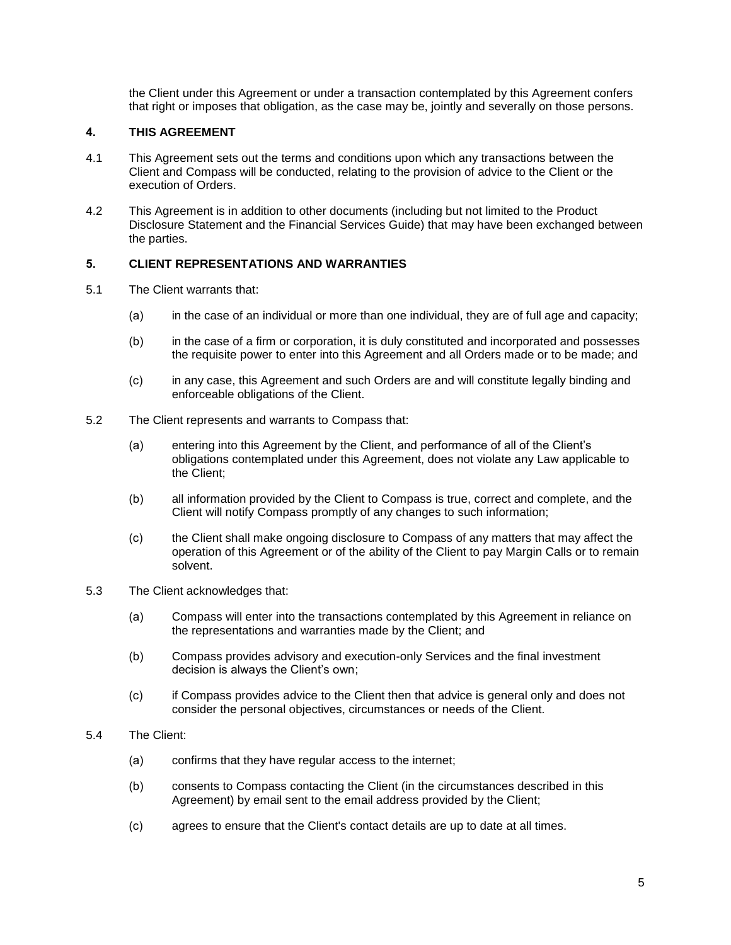the Client under this Agreement or under a transaction contemplated by this Agreement confers that right or imposes that obligation, as the case may be, jointly and severally on those persons.

## **4. THIS AGREEMENT**

- 4.1 This Agreement sets out the terms and conditions upon which any transactions between the Client and Compass will be conducted, relating to the provision of advice to the Client or the execution of Orders.
- 4.2 This Agreement is in addition to other documents (including but not limited to the Product Disclosure Statement and the Financial Services Guide) that may have been exchanged between the parties.

### **5. CLIENT REPRESENTATIONS AND WARRANTIES**

- 5.1 The Client warrants that:
	- (a) in the case of an individual or more than one individual, they are of full age and capacity;
	- (b) in the case of a firm or corporation, it is duly constituted and incorporated and possesses the requisite power to enter into this Agreement and all Orders made or to be made; and
	- (c) in any case, this Agreement and such Orders are and will constitute legally binding and enforceable obligations of the Client.
- 5.2 The Client represents and warrants to Compass that:
	- (a) entering into this Agreement by the Client, and performance of all of the Client's obligations contemplated under this Agreement, does not violate any Law applicable to the Client;
	- (b) all information provided by the Client to Compass is true, correct and complete, and the Client will notify Compass promptly of any changes to such information;
	- (c) the Client shall make ongoing disclosure to Compass of any matters that may affect the operation of this Agreement or of the ability of the Client to pay Margin Calls or to remain solvent.
- 5.3 The Client acknowledges that:
	- (a) Compass will enter into the transactions contemplated by this Agreement in reliance on the representations and warranties made by the Client; and
	- (b) Compass provides advisory and execution-only Services and the final investment decision is always the Client's own;
	- (c) if Compass provides advice to the Client then that advice is general only and does not consider the personal objectives, circumstances or needs of the Client.
- 5.4 The Client:
	- (a) confirms that they have regular access to the internet;
	- (b) consents to Compass contacting the Client (in the circumstances described in this Agreement) by email sent to the email address provided by the Client;
	- (c) agrees to ensure that the Client's contact details are up to date at all times.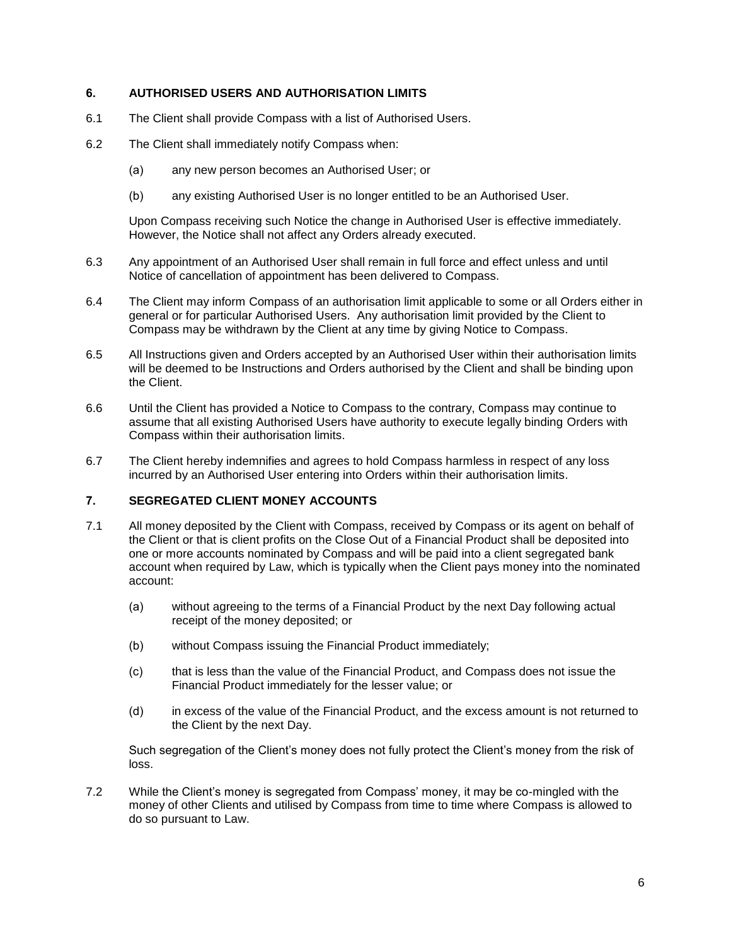## **6. AUTHORISED USERS AND AUTHORISATION LIMITS**

- 6.1 The Client shall provide Compass with a list of Authorised Users.
- 6.2 The Client shall immediately notify Compass when:
	- (a) any new person becomes an Authorised User; or
	- (b) any existing Authorised User is no longer entitled to be an Authorised User.

Upon Compass receiving such Notice the change in Authorised User is effective immediately. However, the Notice shall not affect any Orders already executed.

- 6.3 Any appointment of an Authorised User shall remain in full force and effect unless and until Notice of cancellation of appointment has been delivered to Compass.
- 6.4 The Client may inform Compass of an authorisation limit applicable to some or all Orders either in general or for particular Authorised Users. Any authorisation limit provided by the Client to Compass may be withdrawn by the Client at any time by giving Notice to Compass.
- 6.5 All Instructions given and Orders accepted by an Authorised User within their authorisation limits will be deemed to be Instructions and Orders authorised by the Client and shall be binding upon the Client.
- 6.6 Until the Client has provided a Notice to Compass to the contrary, Compass may continue to assume that all existing Authorised Users have authority to execute legally binding Orders with Compass within their authorisation limits.
- 6.7 The Client hereby indemnifies and agrees to hold Compass harmless in respect of any loss incurred by an Authorised User entering into Orders within their authorisation limits.

### **7. SEGREGATED CLIENT MONEY ACCOUNTS**

- 7.1 All money deposited by the Client with Compass, received by Compass or its agent on behalf of the Client or that is client profits on the Close Out of a Financial Product shall be deposited into one or more accounts nominated by Compass and will be paid into a client segregated bank account when required by Law, which is typically when the Client pays money into the nominated account:
	- (a) without agreeing to the terms of a Financial Product by the next Day following actual receipt of the money deposited; or
	- (b) without Compass issuing the Financial Product immediately;
	- (c) that is less than the value of the Financial Product, and Compass does not issue the Financial Product immediately for the lesser value; or
	- (d) in excess of the value of the Financial Product, and the excess amount is not returned to the Client by the next Day.

Such segregation of the Client's money does not fully protect the Client's money from the risk of loss.

7.2 While the Client's money is segregated from Compass' money, it may be co-mingled with the money of other Clients and utilised by Compass from time to time where Compass is allowed to do so pursuant to Law.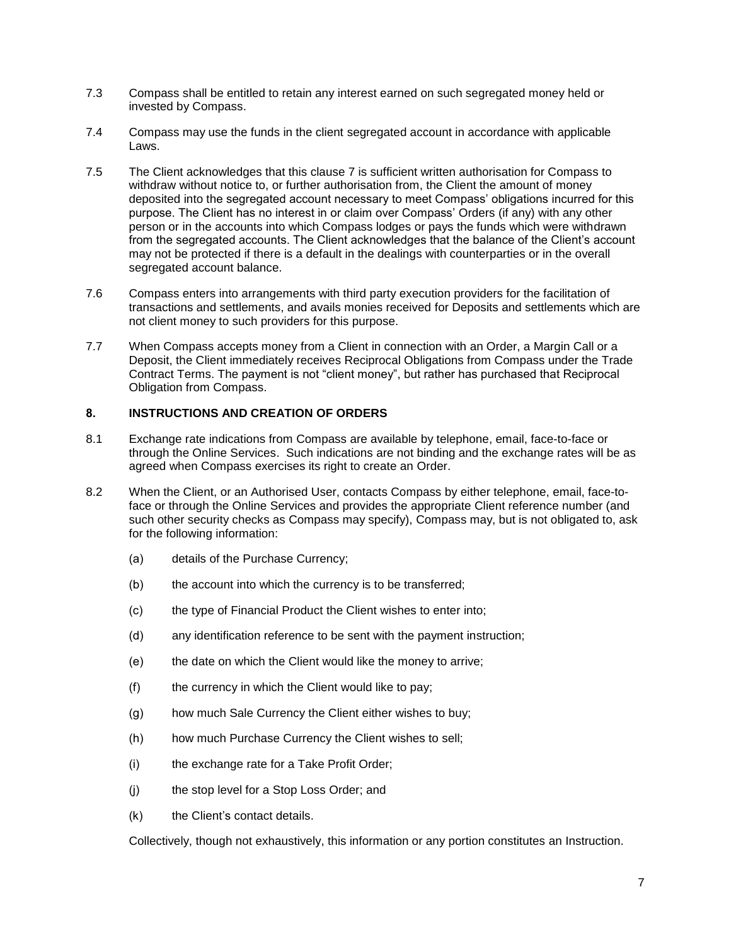- 7.3 Compass shall be entitled to retain any interest earned on such segregated money held or invested by Compass.
- 7.4 Compass may use the funds in the client segregated account in accordance with applicable Laws.
- 7.5 The Client acknowledges that this clause 7 is sufficient written authorisation for Compass to withdraw without notice to, or further authorisation from, the Client the amount of money deposited into the segregated account necessary to meet Compass' obligations incurred for this purpose. The Client has no interest in or claim over Compass' Orders (if any) with any other person or in the accounts into which Compass lodges or pays the funds which were withdrawn from the segregated accounts. The Client acknowledges that the balance of the Client's account may not be protected if there is a default in the dealings with counterparties or in the overall segregated account balance.
- 7.6 Compass enters into arrangements with third party execution providers for the facilitation of transactions and settlements, and avails monies received for Deposits and settlements which are not client money to such providers for this purpose.
- 7.7 When Compass accepts money from a Client in connection with an Order, a Margin Call or a Deposit, the Client immediately receives Reciprocal Obligations from Compass under the Trade Contract Terms. The payment is not "client money", but rather has purchased that Reciprocal Obligation from Compass.

# **8. INSTRUCTIONS AND CREATION OF ORDERS**

- 8.1 Exchange rate indications from Compass are available by telephone, email, face-to-face or through the Online Services. Such indications are not binding and the exchange rates will be as agreed when Compass exercises its right to create an Order.
- 8.2 When the Client, or an Authorised User, contacts Compass by either telephone, email, face-toface or through the Online Services and provides the appropriate Client reference number (and such other security checks as Compass may specify), Compass may, but is not obligated to, ask for the following information:
	- (a) details of the Purchase Currency;
	- (b) the account into which the currency is to be transferred;
	- (c) the type of Financial Product the Client wishes to enter into;
	- (d) any identification reference to be sent with the payment instruction;
	- (e) the date on which the Client would like the money to arrive;
	- (f) the currency in which the Client would like to pay;
	- (g) how much Sale Currency the Client either wishes to buy;
	- (h) how much Purchase Currency the Client wishes to sell;
	- (i) the exchange rate for a Take Profit Order;
	- (j) the stop level for a Stop Loss Order; and
	- (k) the Client's contact details.

Collectively, though not exhaustively, this information or any portion constitutes an Instruction.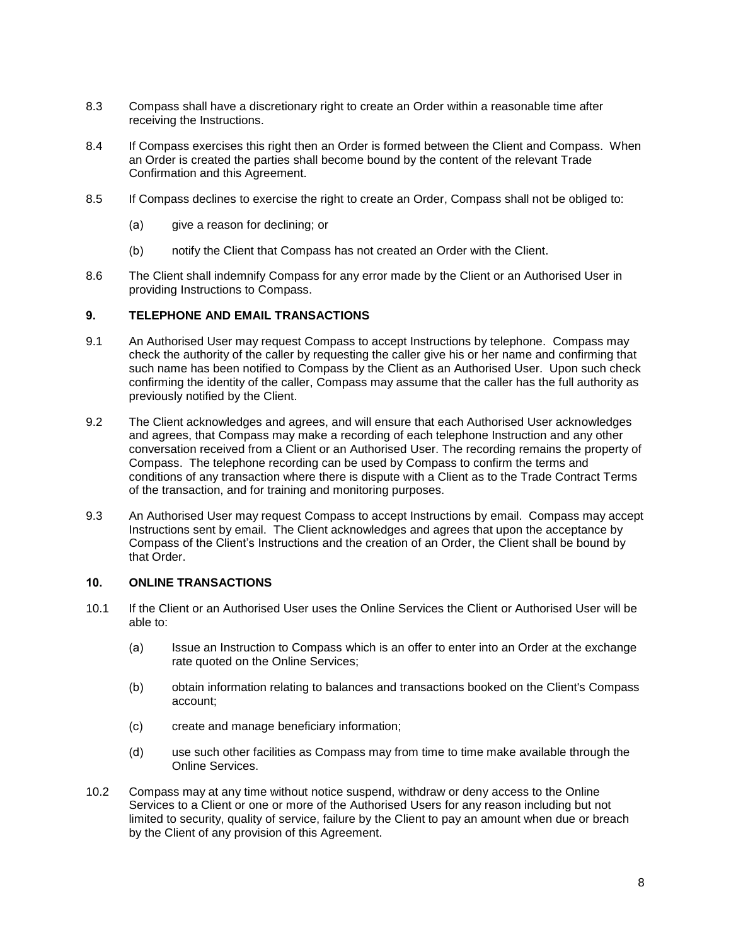- 8.3 Compass shall have a discretionary right to create an Order within a reasonable time after receiving the Instructions.
- 8.4 If Compass exercises this right then an Order is formed between the Client and Compass. When an Order is created the parties shall become bound by the content of the relevant Trade Confirmation and this Agreement.
- 8.5 If Compass declines to exercise the right to create an Order, Compass shall not be obliged to:
	- (a) give a reason for declining; or
	- (b) notify the Client that Compass has not created an Order with the Client.
- 8.6 The Client shall indemnify Compass for any error made by the Client or an Authorised User in providing Instructions to Compass.

#### **9. TELEPHONE AND EMAIL TRANSACTIONS**

- 9.1 An Authorised User may request Compass to accept Instructions by telephone. Compass may check the authority of the caller by requesting the caller give his or her name and confirming that such name has been notified to Compass by the Client as an Authorised User. Upon such check confirming the identity of the caller, Compass may assume that the caller has the full authority as previously notified by the Client.
- 9.2 The Client acknowledges and agrees, and will ensure that each Authorised User acknowledges and agrees, that Compass may make a recording of each telephone Instruction and any other conversation received from a Client or an Authorised User. The recording remains the property of Compass. The telephone recording can be used by Compass to confirm the terms and conditions of any transaction where there is dispute with a Client as to the Trade Contract Terms of the transaction, and for training and monitoring purposes.
- 9.3 An Authorised User may request Compass to accept Instructions by email. Compass may accept Instructions sent by email. The Client acknowledges and agrees that upon the acceptance by Compass of the Client's Instructions and the creation of an Order, the Client shall be bound by that Order.

#### **10. ONLINE TRANSACTIONS**

- 10.1 If the Client or an Authorised User uses the Online Services the Client or Authorised User will be able to:
	- (a) Issue an Instruction to Compass which is an offer to enter into an Order at the exchange rate quoted on the Online Services;
	- (b) obtain information relating to balances and transactions booked on the Client's Compass account;
	- (c) create and manage beneficiary information;
	- (d) use such other facilities as Compass may from time to time make available through the Online Services.
- 10.2 Compass may at any time without notice suspend, withdraw or deny access to the Online Services to a Client or one or more of the Authorised Users for any reason including but not limited to security, quality of service, failure by the Client to pay an amount when due or breach by the Client of any provision of this Agreement.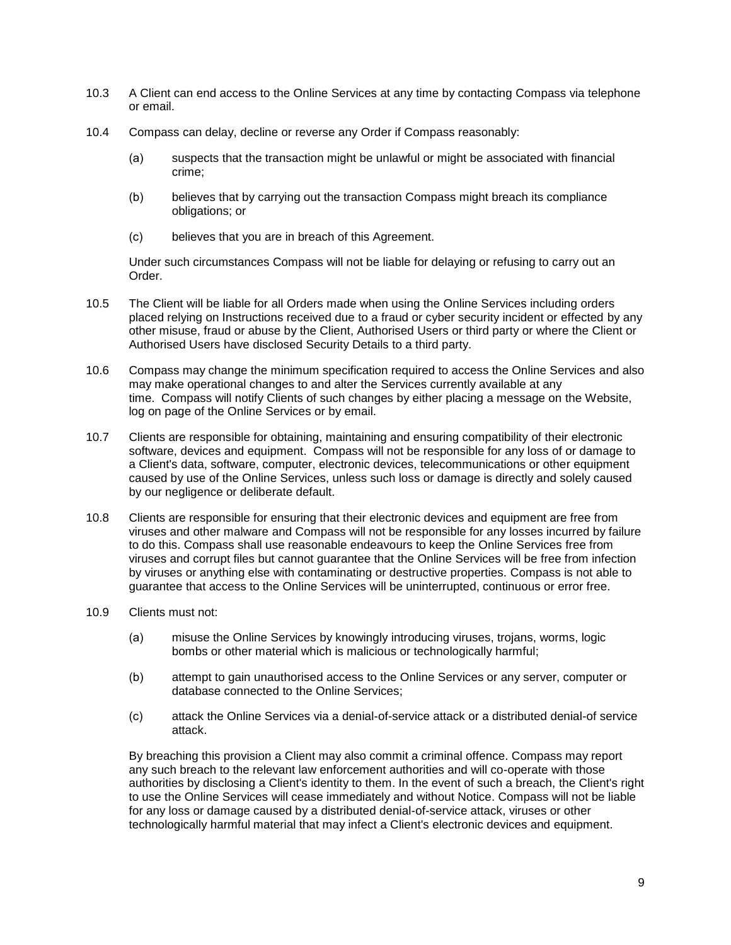- 10.3 A Client can end access to the Online Services at any time by contacting Compass via telephone or email.
- 10.4 Compass can delay, decline or reverse any Order if Compass reasonably:
	- (a) suspects that the transaction might be unlawful or might be associated with financial crime;
	- (b) believes that by carrying out the transaction Compass might breach its compliance obligations; or
	- (c) believes that you are in breach of this Agreement.

Under such circumstances Compass will not be liable for delaying or refusing to carry out an Order.

- 10.5 The Client will be liable for all Orders made when using the Online Services including orders placed relying on Instructions received due to a fraud or cyber security incident or effected by any other misuse, fraud or abuse by the Client, Authorised Users or third party or where the Client or Authorised Users have disclosed Security Details to a third party.
- 10.6 Compass may change the minimum specification required to access the Online Services and also may make operational changes to and alter the Services currently available at any time. Compass will notify Clients of such changes by either placing a message on the Website, log on page of the Online Services or by email.
- 10.7 Clients are responsible for obtaining, maintaining and ensuring compatibility of their electronic software, devices and equipment. Compass will not be responsible for any loss of or damage to a Client's data, software, computer, electronic devices, telecommunications or other equipment caused by use of the Online Services, unless such loss or damage is directly and solely caused by our negligence or deliberate default.
- 10.8 Clients are responsible for ensuring that their electronic devices and equipment are free from viruses and other malware and Compass will not be responsible for any losses incurred by failure to do this. Compass shall use reasonable endeavours to keep the Online Services free from viruses and corrupt files but cannot guarantee that the Online Services will be free from infection by viruses or anything else with contaminating or destructive properties. Compass is not able to guarantee that access to the Online Services will be uninterrupted, continuous or error free.
- 10.9 Clients must not:
	- (a) misuse the Online Services by knowingly introducing viruses, trojans, worms, logic bombs or other material which is malicious or technologically harmful;
	- (b) attempt to gain unauthorised access to the Online Services or any server, computer or database connected to the Online Services;
	- (c) attack the Online Services via a denial-of-service attack or a distributed denial-of service attack.

By breaching this provision a Client may also commit a criminal offence. Compass may report any such breach to the relevant law enforcement authorities and will co-operate with those authorities by disclosing a Client's identity to them. In the event of such a breach, the Client's right to use the Online Services will cease immediately and without Notice. Compass will not be liable for any loss or damage caused by a distributed denial-of-service attack, viruses or other technologically harmful material that may infect a Client's electronic devices and equipment.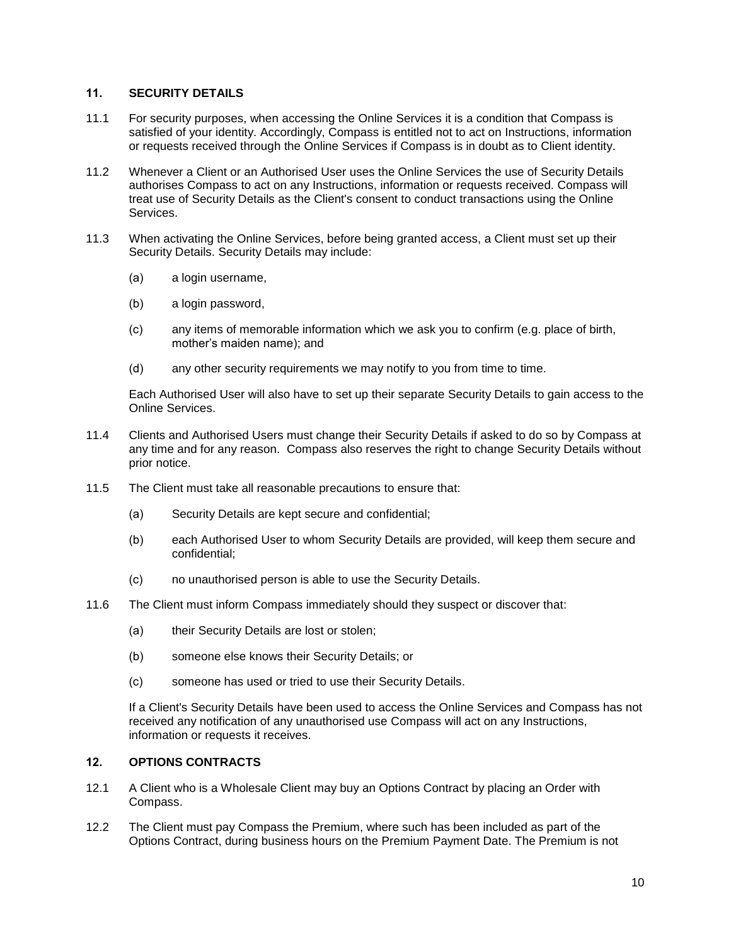### **11. SECURITY DETAILS**

- 11.1 For security purposes, when accessing the Online Services it is a condition that Compass is satisfied of your identity. Accordingly, Compass is entitled not to act on Instructions, information or requests received through the Online Services if Compass is in doubt as to Client identity.
- 11.2 Whenever a Client or an Authorised User uses the Online Services the use of Security Details authorises Compass to act on any Instructions, information or requests received. Compass will treat use of Security Details as the Client's consent to conduct transactions using the Online Services.
- 11.3 When activating the Online Services, before being granted access, a Client must set up their Security Details. Security Details may include:
	- (a) a login username,
	- (b) a login password,
	- (c) any items of memorable information which we ask you to confirm (e.g. place of birth, mother's maiden name); and
	- (d) any other security requirements we may notify to you from time to time.

Each Authorised User will also have to set up their separate Security Details to gain access to the Online Services.

- 11.4 Clients and Authorised Users must change their Security Details if asked to do so by Compass at any time and for any reason. Compass also reserves the right to change Security Details without prior notice.
- 11.5 The Client must take all reasonable precautions to ensure that:
	- (a) Security Details are kept secure and confidential;
	- (b) each Authorised User to whom Security Details are provided, will keep them secure and confidential;
	- (c) no unauthorised person is able to use the Security Details.
- 11.6 The Client must inform Compass immediately should they suspect or discover that:
	- (a) their Security Details are lost or stolen;
	- (b) someone else knows their Security Details; or
	- (c) someone has used or tried to use their Security Details.

If a Client's Security Details have been used to access the Online Services and Compass has not received any notification of any unauthorised use Compass will act on any Instructions, information or requests it receives.

## **12. OPTIONS CONTRACTS**

- 12.1 A Client who is a Wholesale Client may buy an Options Contract by placing an Order with Compass.
- 12.2 The Client must pay Compass the Premium, where such has been included as part of the Options Contract, during business hours on the Premium Payment Date. The Premium is not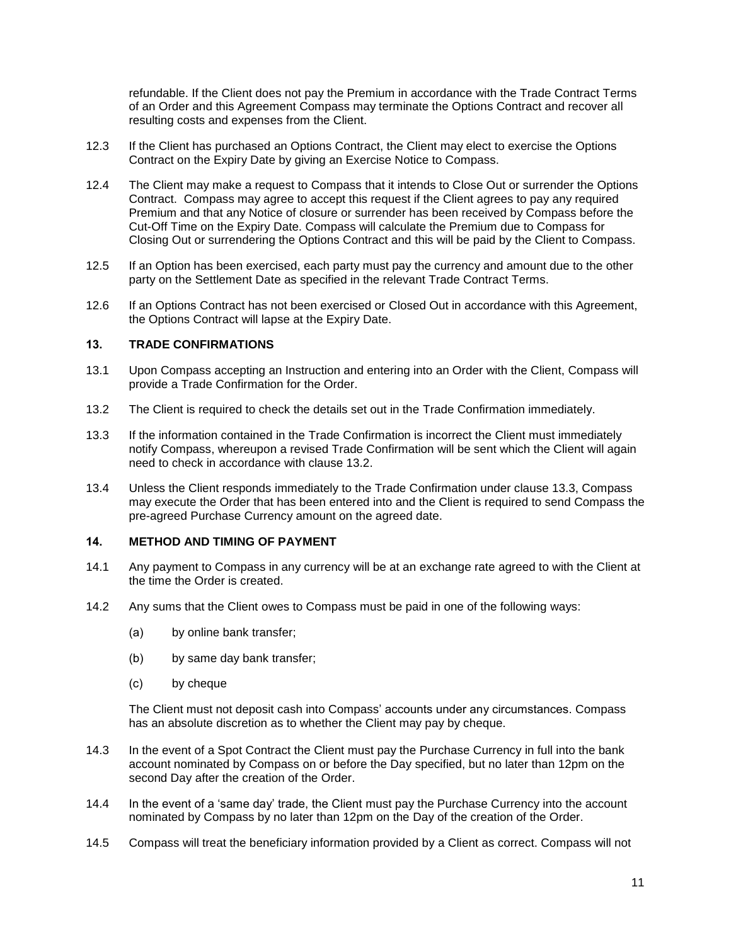refundable. If the Client does not pay the Premium in accordance with the Trade Contract Terms of an Order and this Agreement Compass may terminate the Options Contract and recover all resulting costs and expenses from the Client.

- 12.3 If the Client has purchased an Options Contract, the Client may elect to exercise the Options Contract on the Expiry Date by giving an Exercise Notice to Compass.
- 12.4 The Client may make a request to Compass that it intends to Close Out or surrender the Options Contract. Compass may agree to accept this request if the Client agrees to pay any required Premium and that any Notice of closure or surrender has been received by Compass before the Cut-Off Time on the Expiry Date. Compass will calculate the Premium due to Compass for Closing Out or surrendering the Options Contract and this will be paid by the Client to Compass.
- 12.5 If an Option has been exercised, each party must pay the currency and amount due to the other party on the Settlement Date as specified in the relevant Trade Contract Terms.
- 12.6 If an Options Contract has not been exercised or Closed Out in accordance with this Agreement, the Options Contract will lapse at the Expiry Date.

### **13. TRADE CONFIRMATIONS**

- 13.1 Upon Compass accepting an Instruction and entering into an Order with the Client, Compass will provide a Trade Confirmation for the Order.
- 13.2 The Client is required to check the details set out in the Trade Confirmation immediately.
- 13.3 If the information contained in the Trade Confirmation is incorrect the Client must immediately notify Compass, whereupon a revised Trade Confirmation will be sent which the Client will again need to check in accordance with clause 13.2.
- 13.4 Unless the Client responds immediately to the Trade Confirmation under clause 13.3, Compass may execute the Order that has been entered into and the Client is required to send Compass the pre-agreed Purchase Currency amount on the agreed date.

### **14. METHOD AND TIMING OF PAYMENT**

- 14.1 Any payment to Compass in any currency will be at an exchange rate agreed to with the Client at the time the Order is created.
- 14.2 Any sums that the Client owes to Compass must be paid in one of the following ways:
	- (a) by online bank transfer;
	- (b) by same day bank transfer;
	- (c) by cheque

The Client must not deposit cash into Compass' accounts under any circumstances. Compass has an absolute discretion as to whether the Client may pay by cheque.

- 14.3 In the event of a Spot Contract the Client must pay the Purchase Currency in full into the bank account nominated by Compass on or before the Day specified, but no later than 12pm on the second Day after the creation of the Order.
- 14.4 In the event of a 'same day' trade, the Client must pay the Purchase Currency into the account nominated by Compass by no later than 12pm on the Day of the creation of the Order.
- 14.5 Compass will treat the beneficiary information provided by a Client as correct. Compass will not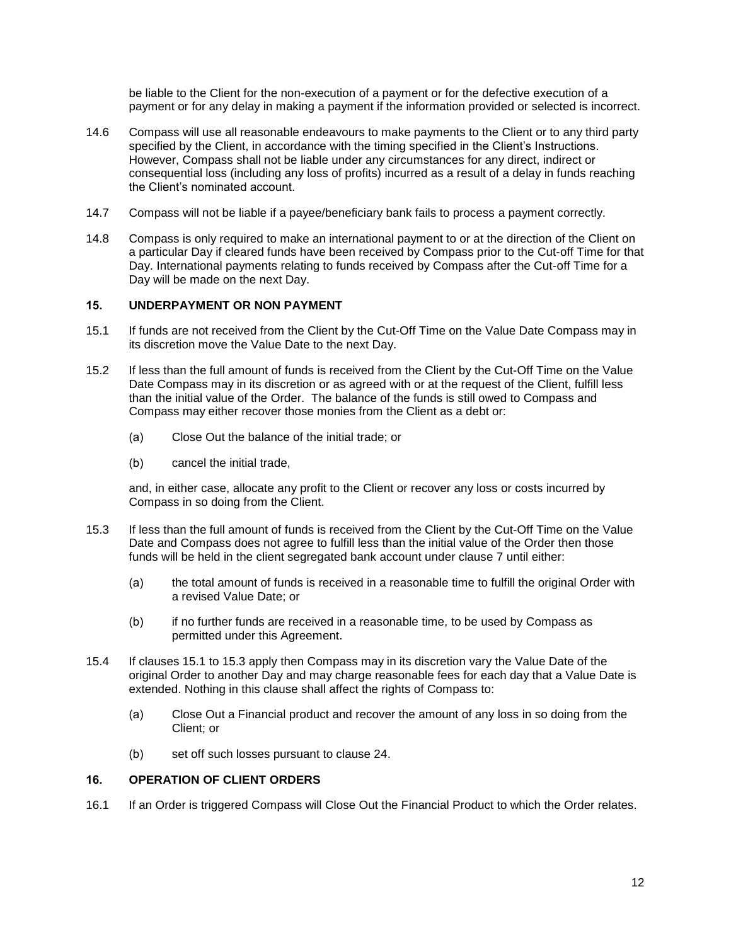be liable to the Client for the non-execution of a payment or for the defective execution of a payment or for any delay in making a payment if the information provided or selected is incorrect.

- 14.6 Compass will use all reasonable endeavours to make payments to the Client or to any third party specified by the Client, in accordance with the timing specified in the Client's Instructions. However, Compass shall not be liable under any circumstances for any direct, indirect or consequential loss (including any loss of profits) incurred as a result of a delay in funds reaching the Client's nominated account.
- 14.7 Compass will not be liable if a payee/beneficiary bank fails to process a payment correctly.
- 14.8 Compass is only required to make an international payment to or at the direction of the Client on a particular Day if cleared funds have been received by Compass prior to the Cut-off Time for that Day. International payments relating to funds received by Compass after the Cut-off Time for a Day will be made on the next Day.

## **15. UNDERPAYMENT OR NON PAYMENT**

- 15.1 If funds are not received from the Client by the Cut-Off Time on the Value Date Compass may in its discretion move the Value Date to the next Day.
- 15.2 If less than the full amount of funds is received from the Client by the Cut-Off Time on the Value Date Compass may in its discretion or as agreed with or at the request of the Client, fulfill less than the initial value of the Order. The balance of the funds is still owed to Compass and Compass may either recover those monies from the Client as a debt or:
	- (a) Close Out the balance of the initial trade; or
	- (b) cancel the initial trade,

and, in either case, allocate any profit to the Client or recover any loss or costs incurred by Compass in so doing from the Client.

- 15.3 If less than the full amount of funds is received from the Client by the Cut-Off Time on the Value Date and Compass does not agree to fulfill less than the initial value of the Order then those funds will be held in the client segregated bank account under clause 7 until either:
	- (a) the total amount of funds is received in a reasonable time to fulfill the original Order with a revised Value Date; or
	- (b) if no further funds are received in a reasonable time, to be used by Compass as permitted under this Agreement.
- 15.4 If clauses 15.1 to 15.3 apply then Compass may in its discretion vary the Value Date of the original Order to another Day and may charge reasonable fees for each day that a Value Date is extended. Nothing in this clause shall affect the rights of Compass to:
	- (a) Close Out a Financial product and recover the amount of any loss in so doing from the Client; or
	- (b) set off such losses pursuant to clause 24.

#### **16. OPERATION OF CLIENT ORDERS**

16.1 If an Order is triggered Compass will Close Out the Financial Product to which the Order relates.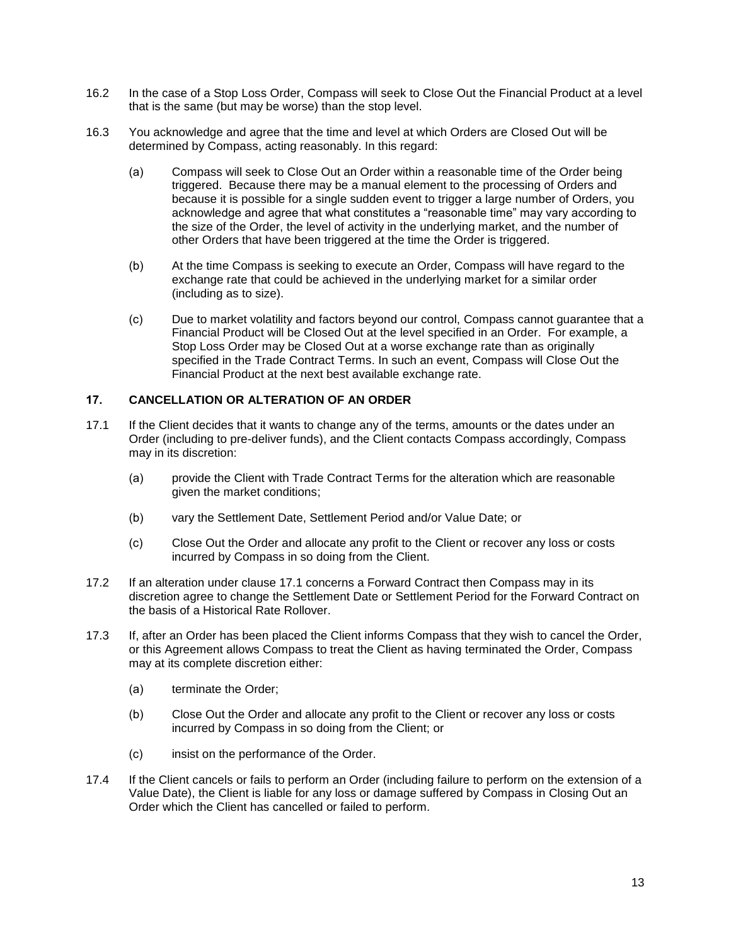- 16.2 In the case of a Stop Loss Order, Compass will seek to Close Out the Financial Product at a level that is the same (but may be worse) than the stop level.
- 16.3 You acknowledge and agree that the time and level at which Orders are Closed Out will be determined by Compass, acting reasonably. In this regard:
	- (a) Compass will seek to Close Out an Order within a reasonable time of the Order being triggered. Because there may be a manual element to the processing of Orders and because it is possible for a single sudden event to trigger a large number of Orders, you acknowledge and agree that what constitutes a "reasonable time" may vary according to the size of the Order, the level of activity in the underlying market, and the number of other Orders that have been triggered at the time the Order is triggered.
	- (b) At the time Compass is seeking to execute an Order, Compass will have regard to the exchange rate that could be achieved in the underlying market for a similar order (including as to size).
	- (c) Due to market volatility and factors beyond our control, Compass cannot guarantee that a Financial Product will be Closed Out at the level specified in an Order. For example, a Stop Loss Order may be Closed Out at a worse exchange rate than as originally specified in the Trade Contract Terms. In such an event, Compass will Close Out the Financial Product at the next best available exchange rate.

### **17. CANCELLATION OR ALTERATION OF AN ORDER**

- 17.1 If the Client decides that it wants to change any of the terms, amounts or the dates under an Order (including to pre-deliver funds), and the Client contacts Compass accordingly, Compass may in its discretion:
	- (a) provide the Client with Trade Contract Terms for the alteration which are reasonable given the market conditions;
	- (b) vary the Settlement Date, Settlement Period and/or Value Date; or
	- (c) Close Out the Order and allocate any profit to the Client or recover any loss or costs incurred by Compass in so doing from the Client.
- 17.2 If an alteration under clause 17.1 concerns a Forward Contract then Compass may in its discretion agree to change the Settlement Date or Settlement Period for the Forward Contract on the basis of a Historical Rate Rollover.
- 17.3 If, after an Order has been placed the Client informs Compass that they wish to cancel the Order, or this Agreement allows Compass to treat the Client as having terminated the Order, Compass may at its complete discretion either:
	- (a) terminate the Order;
	- (b) Close Out the Order and allocate any profit to the Client or recover any loss or costs incurred by Compass in so doing from the Client; or
	- (c) insist on the performance of the Order.
- 17.4 If the Client cancels or fails to perform an Order (including failure to perform on the extension of a Value Date), the Client is liable for any loss or damage suffered by Compass in Closing Out an Order which the Client has cancelled or failed to perform.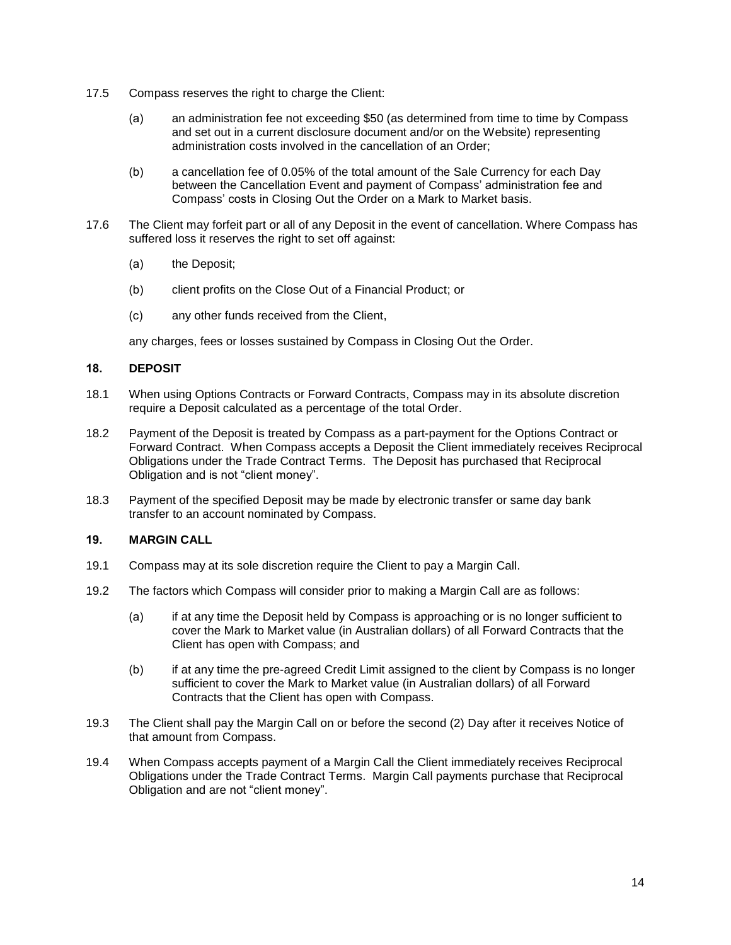- 17.5 Compass reserves the right to charge the Client:
	- (a) an administration fee not exceeding \$50 (as determined from time to time by Compass and set out in a current disclosure document and/or on the Website) representing administration costs involved in the cancellation of an Order;
	- (b) a cancellation fee of 0.05% of the total amount of the Sale Currency for each Day between the Cancellation Event and payment of Compass' administration fee and Compass' costs in Closing Out the Order on a Mark to Market basis.
- 17.6 The Client may forfeit part or all of any Deposit in the event of cancellation. Where Compass has suffered loss it reserves the right to set off against:
	- (a) the Deposit;
	- (b) client profits on the Close Out of a Financial Product; or
	- (c) any other funds received from the Client,

any charges, fees or losses sustained by Compass in Closing Out the Order.

### **18. DEPOSIT**

- 18.1 When using Options Contracts or Forward Contracts, Compass may in its absolute discretion require a Deposit calculated as a percentage of the total Order.
- 18.2 Payment of the Deposit is treated by Compass as a part-payment for the Options Contract or Forward Contract. When Compass accepts a Deposit the Client immediately receives Reciprocal Obligations under the Trade Contract Terms. The Deposit has purchased that Reciprocal Obligation and is not "client money".
- 18.3 Payment of the specified Deposit may be made by electronic transfer or same day bank transfer to an account nominated by Compass.

## **19. MARGIN CALL**

- 19.1 Compass may at its sole discretion require the Client to pay a Margin Call.
- 19.2 The factors which Compass will consider prior to making a Margin Call are as follows:
	- (a) if at any time the Deposit held by Compass is approaching or is no longer sufficient to cover the Mark to Market value (in Australian dollars) of all Forward Contracts that the Client has open with Compass; and
	- (b) if at any time the pre-agreed Credit Limit assigned to the client by Compass is no longer sufficient to cover the Mark to Market value (in Australian dollars) of all Forward Contracts that the Client has open with Compass.
- 19.3 The Client shall pay the Margin Call on or before the second (2) Day after it receives Notice of that amount from Compass.
- 19.4 When Compass accepts payment of a Margin Call the Client immediately receives Reciprocal Obligations under the Trade Contract Terms. Margin Call payments purchase that Reciprocal Obligation and are not "client money".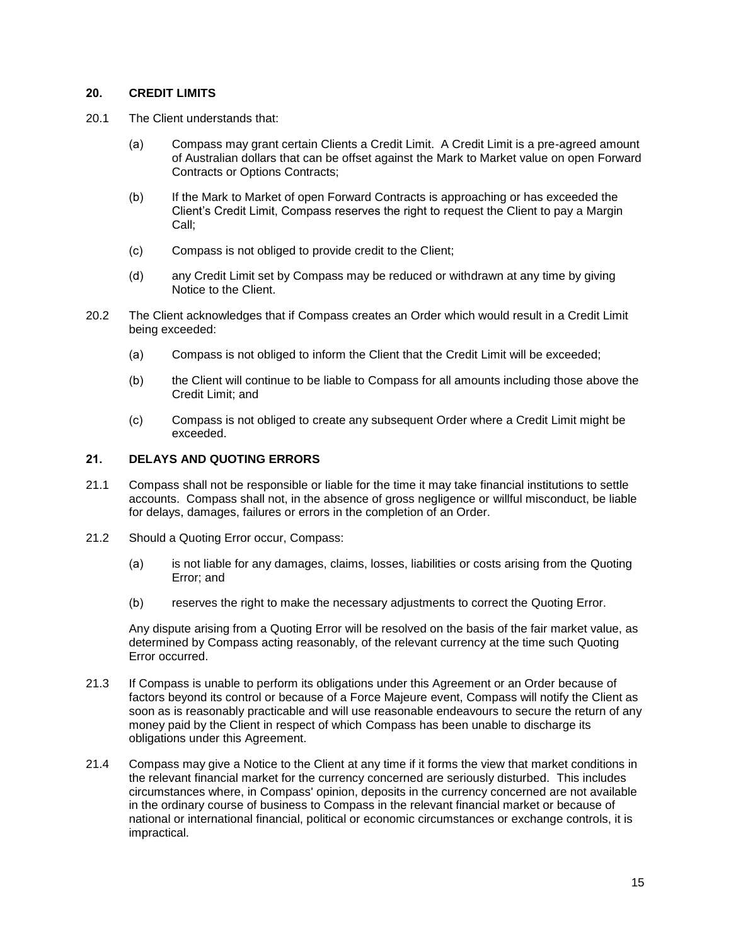## **20. CREDIT LIMITS**

- 20.1 The Client understands that:
	- (a) Compass may grant certain Clients a Credit Limit. A Credit Limit is a pre-agreed amount of Australian dollars that can be offset against the Mark to Market value on open Forward Contracts or Options Contracts;
	- (b) If the Mark to Market of open Forward Contracts is approaching or has exceeded the Client's Credit Limit, Compass reserves the right to request the Client to pay a Margin Call;
	- (c) Compass is not obliged to provide credit to the Client;
	- (d) any Credit Limit set by Compass may be reduced or withdrawn at any time by giving Notice to the Client.
- 20.2 The Client acknowledges that if Compass creates an Order which would result in a Credit Limit being exceeded:
	- (a) Compass is not obliged to inform the Client that the Credit Limit will be exceeded;
	- (b) the Client will continue to be liable to Compass for all amounts including those above the Credit Limit; and
	- (c) Compass is not obliged to create any subsequent Order where a Credit Limit might be exceeded.

### **21. DELAYS AND QUOTING ERRORS**

- 21.1 Compass shall not be responsible or liable for the time it may take financial institutions to settle accounts. Compass shall not, in the absence of gross negligence or willful misconduct, be liable for delays, damages, failures or errors in the completion of an Order.
- 21.2 Should a Quoting Error occur, Compass:
	- (a) is not liable for any damages, claims, losses, liabilities or costs arising from the Quoting Error; and
	- (b) reserves the right to make the necessary adjustments to correct the Quoting Error.

Any dispute arising from a Quoting Error will be resolved on the basis of the fair market value, as determined by Compass acting reasonably, of the relevant currency at the time such Quoting Error occurred.

- 21.3 If Compass is unable to perform its obligations under this Agreement or an Order because of factors beyond its control or because of a Force Majeure event, Compass will notify the Client as soon as is reasonably practicable and will use reasonable endeavours to secure the return of any money paid by the Client in respect of which Compass has been unable to discharge its obligations under this Agreement.
- 21.4 Compass may give a Notice to the Client at any time if it forms the view that market conditions in the relevant financial market for the currency concerned are seriously disturbed. This includes circumstances where, in Compass' opinion, deposits in the currency concerned are not available in the ordinary course of business to Compass in the relevant financial market or because of national or international financial, political or economic circumstances or exchange controls, it is impractical.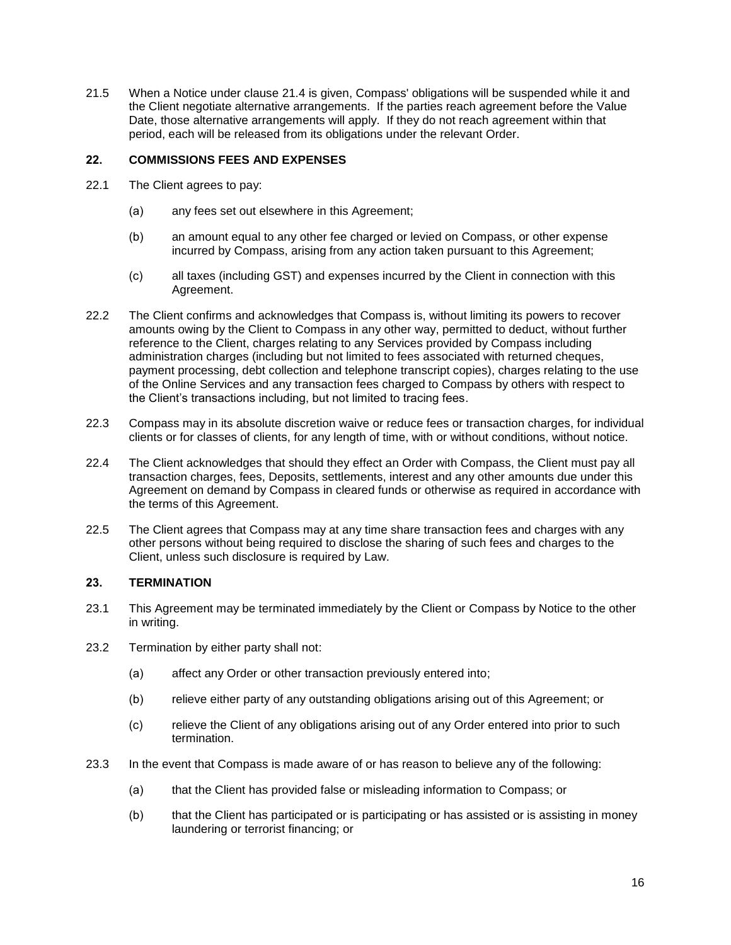21.5 When a Notice under clause 21.4 is given, Compass' obligations will be suspended while it and the Client negotiate alternative arrangements. If the parties reach agreement before the Value Date, those alternative arrangements will apply. If they do not reach agreement within that period, each will be released from its obligations under the relevant Order.

## **22. COMMISSIONS FEES AND EXPENSES**

- 22.1 The Client agrees to pay:
	- (a) any fees set out elsewhere in this Agreement;
	- (b) an amount equal to any other fee charged or levied on Compass, or other expense incurred by Compass, arising from any action taken pursuant to this Agreement;
	- (c) all taxes (including GST) and expenses incurred by the Client in connection with this Agreement.
- 22.2 The Client confirms and acknowledges that Compass is, without limiting its powers to recover amounts owing by the Client to Compass in any other way, permitted to deduct, without further reference to the Client, charges relating to any Services provided by Compass including administration charges (including but not limited to fees associated with returned cheques, payment processing, debt collection and telephone transcript copies), charges relating to the use of the Online Services and any transaction fees charged to Compass by others with respect to the Client's transactions including, but not limited to tracing fees.
- 22.3 Compass may in its absolute discretion waive or reduce fees or transaction charges, for individual clients or for classes of clients, for any length of time, with or without conditions, without notice.
- 22.4 The Client acknowledges that should they effect an Order with Compass, the Client must pay all transaction charges, fees, Deposits, settlements, interest and any other amounts due under this Agreement on demand by Compass in cleared funds or otherwise as required in accordance with the terms of this Agreement.
- 22.5 The Client agrees that Compass may at any time share transaction fees and charges with any other persons without being required to disclose the sharing of such fees and charges to the Client, unless such disclosure is required by Law.

### **23. TERMINATION**

- 23.1 This Agreement may be terminated immediately by the Client or Compass by Notice to the other in writing.
- 23.2 Termination by either party shall not:
	- (a) affect any Order or other transaction previously entered into;
	- (b) relieve either party of any outstanding obligations arising out of this Agreement; or
	- (c) relieve the Client of any obligations arising out of any Order entered into prior to such termination.
- 23.3 In the event that Compass is made aware of or has reason to believe any of the following:
	- (a) that the Client has provided false or misleading information to Compass; or
	- (b) that the Client has participated or is participating or has assisted or is assisting in money laundering or terrorist financing; or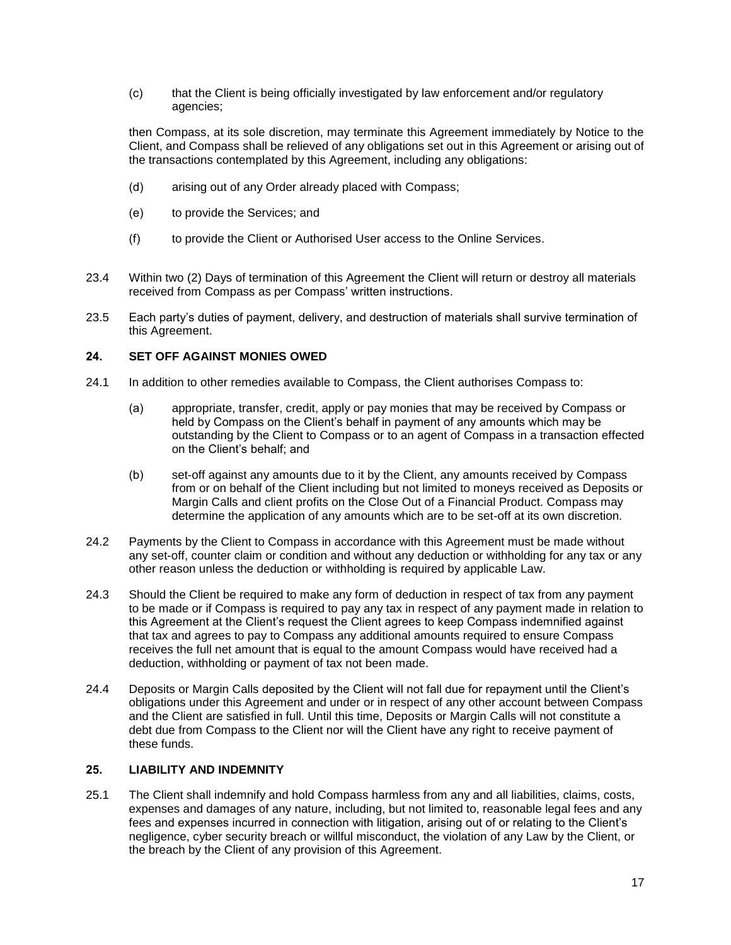(c) that the Client is being officially investigated by law enforcement and/or regulatory agencies;

then Compass, at its sole discretion, may terminate this Agreement immediately by Notice to the Client, and Compass shall be relieved of any obligations set out in this Agreement or arising out of the transactions contemplated by this Agreement, including any obligations:

- (d) arising out of any Order already placed with Compass;
- (e) to provide the Services; and
- (f) to provide the Client or Authorised User access to the Online Services.
- 23.4 Within two (2) Days of termination of this Agreement the Client will return or destroy all materials received from Compass as per Compass' written instructions.
- 23.5 Each party's duties of payment, delivery, and destruction of materials shall survive termination of this Agreement.

### **24. SET OFF AGAINST MONIES OWED**

- 24.1 In addition to other remedies available to Compass, the Client authorises Compass to:
	- (a) appropriate, transfer, credit, apply or pay monies that may be received by Compass or held by Compass on the Client's behalf in payment of any amounts which may be outstanding by the Client to Compass or to an agent of Compass in a transaction effected on the Client's behalf; and
	- (b) set-off against any amounts due to it by the Client, any amounts received by Compass from or on behalf of the Client including but not limited to moneys received as Deposits or Margin Calls and client profits on the Close Out of a Financial Product. Compass may determine the application of any amounts which are to be set-off at its own discretion.
- 24.2 Payments by the Client to Compass in accordance with this Agreement must be made without any set-off, counter claim or condition and without any deduction or withholding for any tax or any other reason unless the deduction or withholding is required by applicable Law.
- 24.3 Should the Client be required to make any form of deduction in respect of tax from any payment to be made or if Compass is required to pay any tax in respect of any payment made in relation to this Agreement at the Client's request the Client agrees to keep Compass indemnified against that tax and agrees to pay to Compass any additional amounts required to ensure Compass receives the full net amount that is equal to the amount Compass would have received had a deduction, withholding or payment of tax not been made.
- 24.4 Deposits or Margin Calls deposited by the Client will not fall due for repayment until the Client's obligations under this Agreement and under or in respect of any other account between Compass and the Client are satisfied in full. Until this time, Deposits or Margin Calls will not constitute a debt due from Compass to the Client nor will the Client have any right to receive payment of these funds.

### **25. LIABILITY AND INDEMNITY**

25.1 The Client shall indemnify and hold Compass harmless from any and all liabilities, claims, costs, expenses and damages of any nature, including, but not limited to, reasonable legal fees and any fees and expenses incurred in connection with litigation, arising out of or relating to the Client's negligence, cyber security breach or willful misconduct, the violation of any Law by the Client, or the breach by the Client of any provision of this Agreement.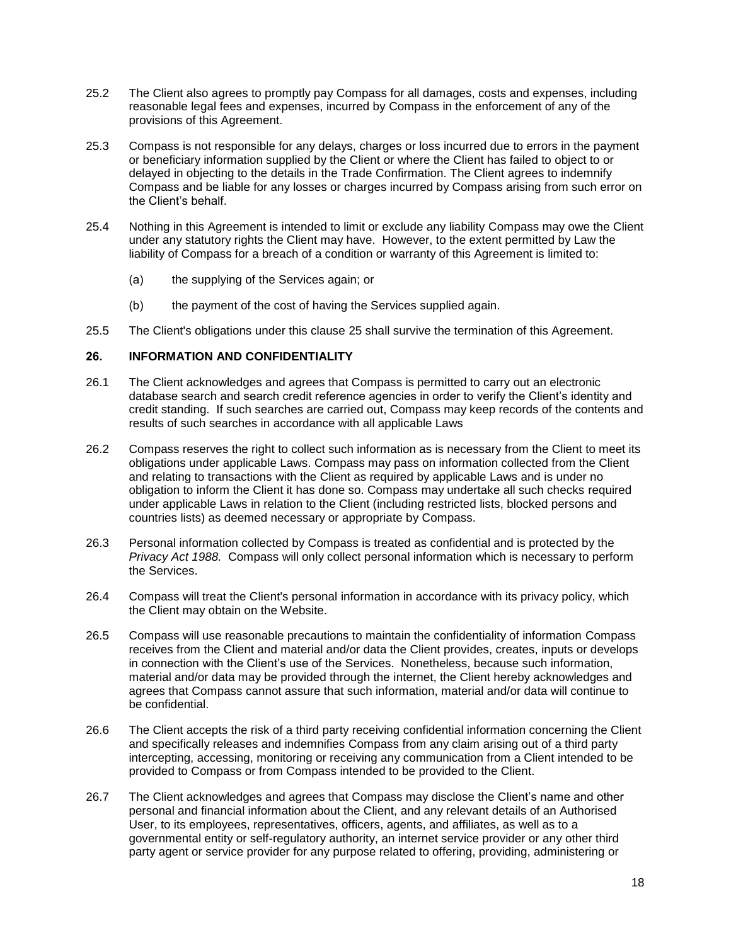- 25.2 The Client also agrees to promptly pay Compass for all damages, costs and expenses, including reasonable legal fees and expenses, incurred by Compass in the enforcement of any of the provisions of this Agreement.
- 25.3 Compass is not responsible for any delays, charges or loss incurred due to errors in the payment or beneficiary information supplied by the Client or where the Client has failed to object to or delayed in objecting to the details in the Trade Confirmation. The Client agrees to indemnify Compass and be liable for any losses or charges incurred by Compass arising from such error on the Client's behalf.
- 25.4 Nothing in this Agreement is intended to limit or exclude any liability Compass may owe the Client under any statutory rights the Client may have. However, to the extent permitted by Law the liability of Compass for a breach of a condition or warranty of this Agreement is limited to:
	- (a) the supplying of the Services again; or
	- (b) the payment of the cost of having the Services supplied again.
- 25.5 The Client's obligations under this clause 25 shall survive the termination of this Agreement.

## **26. INFORMATION AND CONFIDENTIALITY**

- 26.1 The Client acknowledges and agrees that Compass is permitted to carry out an electronic database search and search credit reference agencies in order to verify the Client's identity and credit standing. If such searches are carried out, Compass may keep records of the contents and results of such searches in accordance with all applicable Laws
- 26.2 Compass reserves the right to collect such information as is necessary from the Client to meet its obligations under applicable Laws. Compass may pass on information collected from the Client and relating to transactions with the Client as required by applicable Laws and is under no obligation to inform the Client it has done so. Compass may undertake all such checks required under applicable Laws in relation to the Client (including restricted lists, blocked persons and countries lists) as deemed necessary or appropriate by Compass.
- 26.3 Personal information collected by Compass is treated as confidential and is protected by the *Privacy Act 1988.* Compass will only collect personal information which is necessary to perform the Services.
- 26.4 Compass will treat the Client's personal information in accordance with its privacy policy, which the Client may obtain on the Website.
- 26.5 Compass will use reasonable precautions to maintain the confidentiality of information Compass receives from the Client and material and/or data the Client provides, creates, inputs or develops in connection with the Client's use of the Services. Nonetheless, because such information, material and/or data may be provided through the internet, the Client hereby acknowledges and agrees that Compass cannot assure that such information, material and/or data will continue to be confidential.
- 26.6 The Client accepts the risk of a third party receiving confidential information concerning the Client and specifically releases and indemnifies Compass from any claim arising out of a third party intercepting, accessing, monitoring or receiving any communication from a Client intended to be provided to Compass or from Compass intended to be provided to the Client.
- 26.7 The Client acknowledges and agrees that Compass may disclose the Client's name and other personal and financial information about the Client, and any relevant details of an Authorised User, to its employees, representatives, officers, agents, and affiliates, as well as to a governmental entity or self-regulatory authority, an internet service provider or any other third party agent or service provider for any purpose related to offering, providing, administering or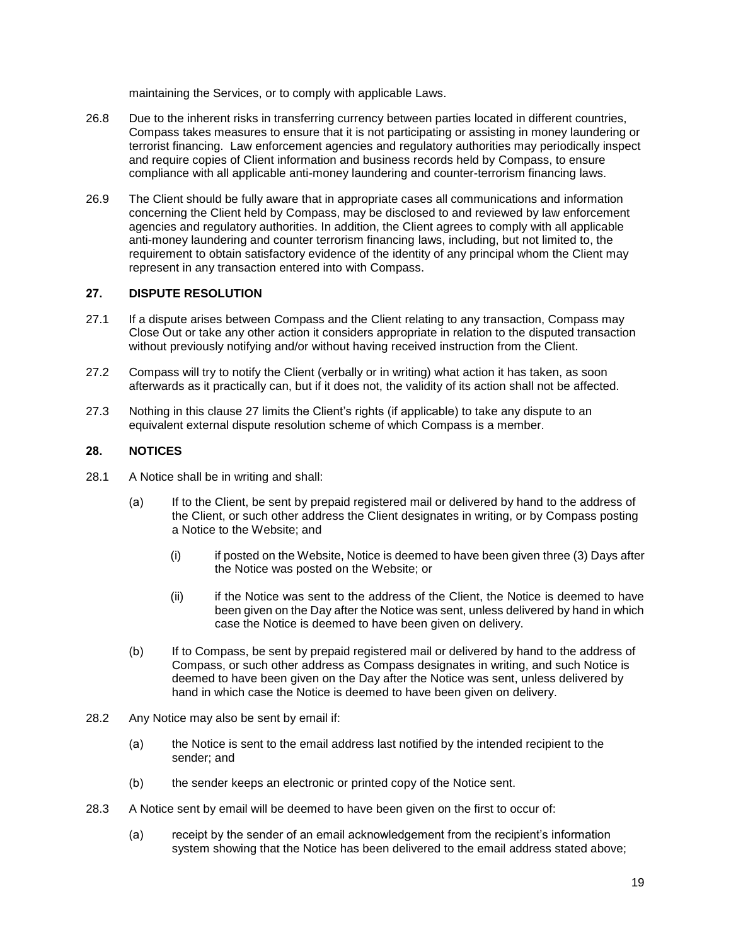maintaining the Services, or to comply with applicable Laws.

- 26.8 Due to the inherent risks in transferring currency between parties located in different countries, Compass takes measures to ensure that it is not participating or assisting in money laundering or terrorist financing. Law enforcement agencies and regulatory authorities may periodically inspect and require copies of Client information and business records held by Compass, to ensure compliance with all applicable anti-money laundering and counter-terrorism financing laws.
- 26.9 The Client should be fully aware that in appropriate cases all communications and information concerning the Client held by Compass, may be disclosed to and reviewed by law enforcement agencies and regulatory authorities. In addition, the Client agrees to comply with all applicable anti-money laundering and counter terrorism financing laws, including, but not limited to, the requirement to obtain satisfactory evidence of the identity of any principal whom the Client may represent in any transaction entered into with Compass.

### **27. DISPUTE RESOLUTION**

- 27.1 If a dispute arises between Compass and the Client relating to any transaction, Compass may Close Out or take any other action it considers appropriate in relation to the disputed transaction without previously notifying and/or without having received instruction from the Client.
- 27.2 Compass will try to notify the Client (verbally or in writing) what action it has taken, as soon afterwards as it practically can, but if it does not, the validity of its action shall not be affected.
- 27.3 Nothing in this clause 27 limits the Client's rights (if applicable) to take any dispute to an equivalent external dispute resolution scheme of which Compass is a member.

### **28. NOTICES**

- 28.1 A Notice shall be in writing and shall:
	- (a) If to the Client, be sent by prepaid registered mail or delivered by hand to the address of the Client, or such other address the Client designates in writing, or by Compass posting a Notice to the Website; and
		- (i) if posted on the Website, Notice is deemed to have been given three (3) Days after the Notice was posted on the Website; or
		- (ii) if the Notice was sent to the address of the Client, the Notice is deemed to have been given on the Day after the Notice was sent, unless delivered by hand in which case the Notice is deemed to have been given on delivery.
	- (b) If to Compass, be sent by prepaid registered mail or delivered by hand to the address of Compass, or such other address as Compass designates in writing, and such Notice is deemed to have been given on the Day after the Notice was sent, unless delivered by hand in which case the Notice is deemed to have been given on delivery.
- 28.2 Any Notice may also be sent by email if:
	- (a) the Notice is sent to the email address last notified by the intended recipient to the sender; and
	- (b) the sender keeps an electronic or printed copy of the Notice sent.
- 28.3 A Notice sent by email will be deemed to have been given on the first to occur of:
	- (a) receipt by the sender of an email acknowledgement from the recipient's information system showing that the Notice has been delivered to the email address stated above;